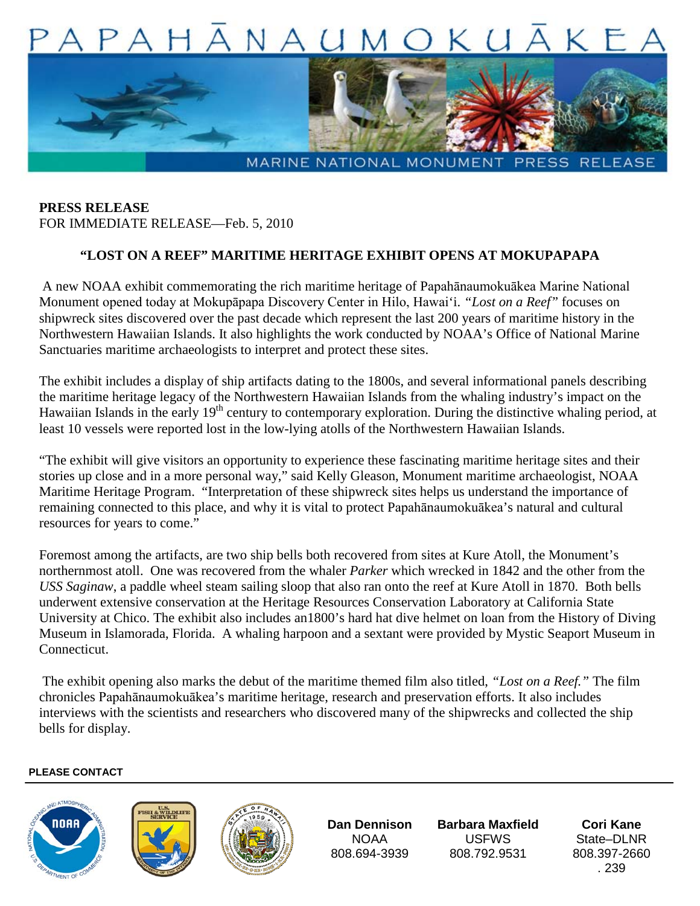

**PRESS RELEASE** FOR IMMEDIATE RELEASE—Feb. 5, 2010

## **"LOST ON A REEF" MARITIME HERITAGE EXHIBIT OPENS AT MOKUPAPAPA**

A new NOAA exhibit commemorating the rich maritime heritage of Papahānaumokuākea Marine National Monument opened today at Mokupāpapa Discovery Center in Hilo, Hawai'i. *"Lost on a Reef"* focuses on shipwreck sites discovered over the past decade which represent the last 200 years of maritime history in the Northwestern Hawaiian Islands. It also highlights the work conducted by NOAA's Office of National Marine Sanctuaries maritime archaeologists to interpret and protect these sites.

The exhibit includes a display of ship artifacts dating to the 1800s, and several informational panels describing the maritime heritage legacy of the Northwestern Hawaiian Islands from the whaling industry's impact on the Hawaiian Islands in the early 19<sup>th</sup> century to contemporary exploration. During the distinctive whaling period, at least 10 vessels were reported lost in the low-lying atolls of the Northwestern Hawaiian Islands.

"The exhibit will give visitors an opportunity to experience these fascinating maritime heritage sites and their stories up close and in a more personal way," said Kelly Gleason, Monument maritime archaeologist, NOAA Maritime Heritage Program. "Interpretation of these shipwreck sites helps us understand the importance of remaining connected to this place, and why it is vital to protect Papahānaumokuākea's natural and cultural resources for years to come."

Foremost among the artifacts, are two ship bells both recovered from sites at Kure Atoll, the Monument's northernmost atoll. One was recovered from the whaler *Parker* which wrecked in 1842 and the other from the *USS Saginaw*, a paddle wheel steam sailing sloop that also ran onto the reef at Kure Atoll in 1870. Both bells underwent extensive conservation at the Heritage Resources Conservation Laboratory at California State University at Chico. The exhibit also includes an1800's hard hat dive helmet on loan from the History of Diving Museum in Islamorada, Florida. A whaling harpoon and a sextant were provided by Mystic Seaport Museum in Connecticut.

The exhibit opening also marks the debut of the maritime themed film also titled, *"Lost on a Reef."* The film chronicles Papahānaumokuākea's maritime heritage, research and preservation efforts. It also includes interviews with the scientists and researchers who discovered many of the shipwrecks and collected the ship bells for display.

## **PLEASE CONTACT**







**Dan Dennison** NOAA 808.694-3939

**Barbara Maxfield**  USFWS 808.792.9531

**Cori Kane** State–DLNR 808.397-2660 . 239